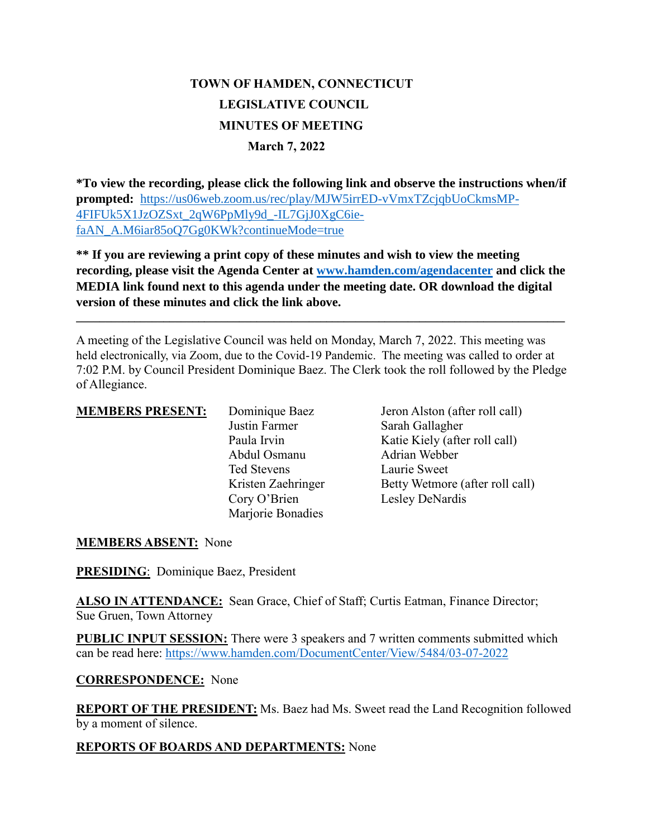# **TOWN OF HAMDEN, CONNECTICUT LEGISLATIVE COUNCIL MINUTES OF MEETING March 7, 2022**

**\*To view the recording, please click the following link and observe the instructions when/if prompted:** https://us06web.zoom.us/rec/play/MJW5irrED-vVmxTZcjqbUoCkmsMP-4FIFUk5X1JzOZSxt\_2qW6PpMly9d\_-IL7GjJ0XgC6iefaAN\_A.M6iar85oO7Gg0KWk?continueMode=true

**\*\* If you are reviewing a print copy of these minutes and wish to view the meeting recording, please visit the Agenda Center at [www.hamden.com/agendacenter](http://www.hamden.com/agendacenter) and click the MEDIA link found next to this agenda under the meeting date. OR download the digital version of these minutes and click the link above.**

**\_\_\_\_\_\_\_\_\_\_\_\_\_\_\_\_\_\_\_\_\_\_\_\_\_\_\_\_\_\_\_\_\_\_\_\_\_\_\_\_\_\_\_\_\_\_\_\_\_\_\_\_\_\_\_\_\_\_\_\_\_\_\_\_\_\_\_\_\_\_\_\_\_\_\_\_\_\_\_\_\_\_\_\_**

A meeting of the Legislative Council was held on Monday, March 7, 2022. This meeting was held electronically, via Zoom, due to the Covid-19 Pandemic. The meeting was called to order at 7:02 P.M. by Council President Dominique Baez. The Clerk took the roll followed by the Pledge of Allegiance.

Justin Farmer Sarah Gallagher Abdul Osmanu Ted Stevens Laurie Sweet Cory O'Brien Lesley DeNardis Mariorie Bonadies

**MEMBERS PRESENT:** Dominique Baez Jeron Alston (after roll call) Paula Irvin Katie Kiely (after roll call) Kristen Zaehringer Betty Wetmore (after roll call)

# **MEMBERS ABSENT:** None

**PRESIDING**: Dominique Baez, President

ALSO IN ATTENDANCE: Sean Grace, Chief of Staff; Curtis Eatman, Finance Director; Sue Gruen, Town Attorney

**PUBLIC INPUT SESSION:** There were 3 speakers and 7 written comments submitted which can be read here:<https://www.hamden.com/DocumentCenter/View/5484/03-07-2022>

#### **CORRESPONDENCE:** None

**REPORT OF THE PRESIDENT:** Ms. Baez had Ms. Sweet read the Land Recognition followed by a moment of silence.

#### **REPORTS OF BOARDS AND DEPARTMENTS:** None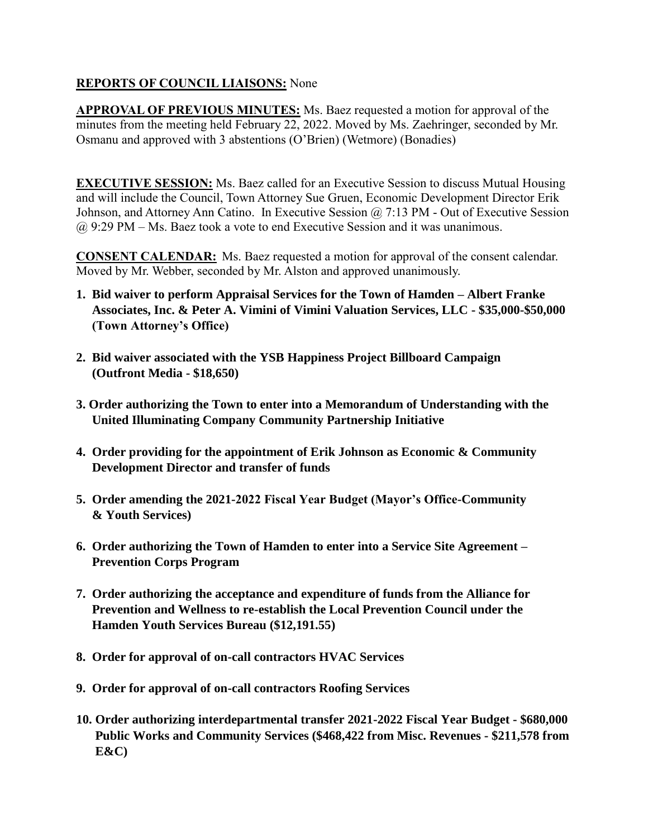# **REPORTS OF COUNCIL LIAISONS:** None

**APPROVAL OF PREVIOUS MINUTES:** Ms. Baez requested a motion for approval of the minutes from the meeting held February 22, 2022. Moved by Ms. Zaehringer, seconded by Mr. Osmanu and approved with 3 abstentions (O'Brien) (Wetmore) (Bonadies)

**EXECUTIVE SESSION:** Ms. Baez called for an Executive Session to discuss Mutual Housing and will include the Council, Town Attorney Sue Gruen, Economic Development Director Erik Johnson, and Attorney Ann Catino. In Executive Session @ 7:13 PM - Out of Executive Session @ 9:29 PM – Ms. Baez took a vote to end Executive Session and it was unanimous.

**CONSENT CALENDAR:** Ms. Baez requested a motion for approval of the consent calendar. Moved by Mr. Webber, seconded by Mr. Alston and approved unanimously.

- **1. Bid waiver to perform Appraisal Services for the Town of Hamden – Albert Franke Associates, Inc. & Peter A. Vimini of Vimini Valuation Services, LLC - \$35,000-\$50,000 (Town Attorney's Office)**
- **2. Bid waiver associated with the YSB Happiness Project Billboard Campaign (Outfront Media - \$18,650)**
- **3. Order authorizing the Town to enter into a Memorandum of Understanding with the United Illuminating Company Community Partnership Initiative**
- **4. Order providing for the appointment of Erik Johnson as Economic & Community Development Director and transfer of funds**
- **5. Order amending the 2021-2022 Fiscal Year Budget (Mayor's Office-Community & Youth Services)**
- **6. Order authorizing the Town of Hamden to enter into a Service Site Agreement – Prevention Corps Program**
- **7. Order authorizing the acceptance and expenditure of funds from the Alliance for Prevention and Wellness to re-establish the Local Prevention Council under the Hamden Youth Services Bureau (\$12,191.55)**
- **8. Order for approval of on-call contractors HVAC Services**
- **9. Order for approval of on-call contractors Roofing Services**
- **10. Order authorizing interdepartmental transfer 2021-2022 Fiscal Year Budget - \$680,000 Public Works and Community Services (\$468,422 from Misc. Revenues - \$211,578 from E&C)**